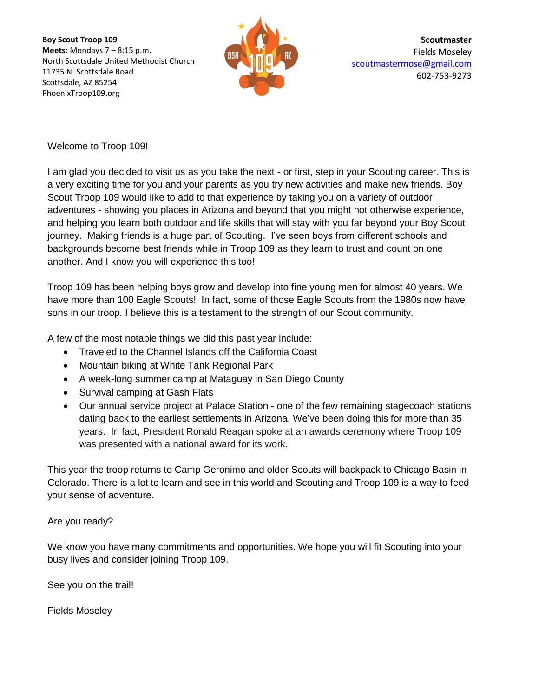**Boy Scout Troop 109 Meets:** Mondays 7 – 8:15 p.m. North Scottsdale United Methodist Church 11735 N. Scottsdale Road Scottsdale, AZ 85254 PhoenixTroop109.org



**Scoutmaster** Fields Moseley [scoutmastermose@gmail.com](mailto:scoutmastermose@gmail.com) 602-753-9273

Welcome to Troop 109!

I am glad you decided to visit us as you take the next - or first, step in your Scouting career. This is a very exciting time for you and your parents as you try new activities and make new friends. Boy Scout Troop 109 would like to add to that experience by taking you on a variety of outdoor adventures - showing you places in Arizona and beyond that you might not otherwise experience, and helping you learn both outdoor and life skills that will stay with you far beyond your Boy Scout journey. Making friends is a huge part of Scouting. I've seen boys from different schools and backgrounds become best friends while in Troop 109 as they learn to trust and count on one another. And I know you will experience this too!

Troop 109 has been helping boys grow and develop into fine young men for almost 40 years. We have more than 100 Eagle Scouts! In fact, some of those Eagle Scouts from the 1980s now have sons in our troop. I believe this is a testament to the strength of our Scout community.

A few of the most notable things we did this past year include:

- Traveled to the Channel Islands off the California Coast
- Mountain biking at White Tank Regional Park
- A week-long summer camp at Mataguay in San Diego County
- Survival camping at Gash Flats
- Our annual service project at Palace Station one of the few remaining stagecoach stations dating back to the earliest settlements in Arizona. We've been doing this for more than 35 years. In fact, President Ronald Reagan spoke at an awards ceremony where Troop 109 was presented with a national award for its work.

This year the troop returns to Camp Geronimo and older Scouts will backpack to Chicago Basin in Colorado. There is a lot to learn and see in this world and Scouting and Troop 109 is a way to feed your sense of adventure.

Are you ready?

We know you have many commitments and opportunities. We hope you will fit Scouting into your busy lives and consider joining Troop 109.

See you on the trail!

Fields Moseley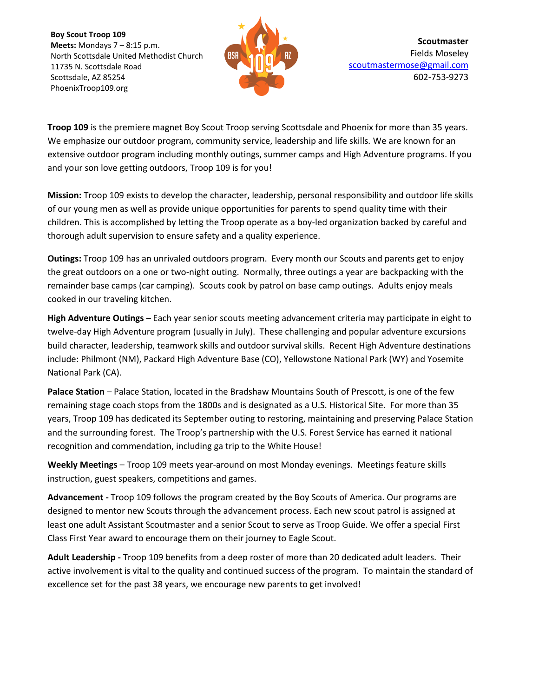**Boy Scout Troop 109 Meets:** Mondays 7 – 8:15 p.m. North Scottsdale United Methodist Church 11735 N. Scottsdale Road Scottsdale, AZ 85254 PhoenixTroop109.org



**Troop 109** is the premiere magnet Boy Scout Troop serving Scottsdale and Phoenix for more than 35 years. We emphasize our outdoor program, community service, leadership and life skills. We are known for an extensive outdoor program including monthly outings, summer camps and High Adventure programs. If you and your son love getting outdoors, Troop 109 is for you!

**Mission:** Troop 109 exists to develop the character, leadership, personal responsibility and outdoor life skills of our young men as well as provide unique opportunities for parents to spend quality time with their children. This is accomplished by letting the Troop operate as a boy-led organization backed by careful and thorough adult supervision to ensure safety and a quality experience.

**Outings:** Troop 109 has an unrivaled outdoors program. Every month our Scouts and parents get to enjoy the great outdoors on a one or two-night outing. Normally, three outings a year are backpacking with the remainder base camps (car camping). Scouts cook by patrol on base camp outings. Adults enjoy meals cooked in our traveling kitchen.

**High Adventure Outings** – Each year senior scouts meeting advancement criteria may participate in eight to twelve-day High Adventure program (usually in July). These challenging and popular adventure excursions build character, leadership, teamwork skills and outdoor survival skills. Recent High Adventure destinations include: Philmont (NM), Packard High Adventure Base (CO), Yellowstone National Park (WY) and Yosemite National Park (CA).

**Palace Station** – Palace Station, located in the Bradshaw Mountains South of Prescott, is one of the few remaining stage coach stops from the 1800s and is designated as a U.S. Historical Site. For more than 35 years, Troop 109 has dedicated its September outing to restoring, maintaining and preserving Palace Station and the surrounding forest. The Troop's partnership with the U.S. Forest Service has earned it national recognition and commendation, including ga trip to the White House!

**Weekly Meetings** – Troop 109 meets year-around on most Monday evenings. Meetings feature skills instruction, guest speakers, competitions and games.

**Advancement -** Troop 109 follows the program created by the Boy Scouts of America. Our programs are designed to mentor new Scouts through the advancement process. Each new scout patrol is assigned at least one adult Assistant Scoutmaster and a senior Scout to serve as Troop Guide. We offer a special First Class First Year award to encourage them on their journey to Eagle Scout.

**Adult Leadership -** Troop 109 benefits from a deep roster of more than 20 dedicated adult leaders. Their active involvement is vital to the quality and continued success of the program. To maintain the standard of excellence set for the past 38 years, we encourage new parents to get involved!